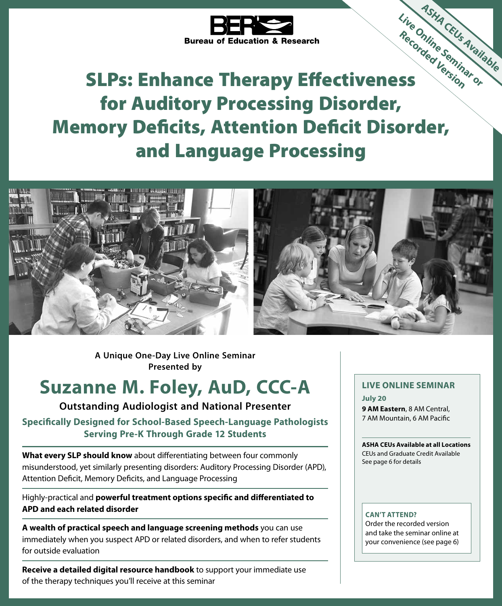

# SLPs: Enhance Therapy Effectiveness for Auditory Processing Disorder, Memory Deficits, Attention Deficit Disorder, and Language Processing **ASHA CEUs Available Live Online Seminar or Recorded Version**





**A Unique One-Day Live Online Seminar Presented by**

## **Suzanne M. Foley, AuD, CCC-A**

**Outstanding Audiologist and National Presenter**

**Specifically Designed for School-Based Speech-Language Pathologists Serving Pre-K Through Grade 12 Students**

**What every SLP should know** about differentiating between four commonly misunderstood, yet similarly presenting disorders: Auditory Processing Disorder (APD), Attention Deficit, Memory Deficits, and Language Processing

Highly-practical and **powerful treatment options specific and differentiated to APD and each related disorder**

**A wealth of practical speech and language screening methods** you can use immediately when you suspect APD or related disorders, and when to refer students for outside evaluation

**Receive a detailed digital resource handbook** to support your immediate use of the therapy techniques you'll receive at this seminar

#### **LIVE ONLINE SEMINAR**

**July 20 9 AM Eastern**, 8 AM Central, 7 AM Mountain, 6 AM Pacific

**ASHA CEUs Available at all Locations** CEUs and Graduate Credit Available See page 6 for details

#### **CAN'T ATTEND?**

Order the recorded version and take the seminar online at your convenience (see page 6)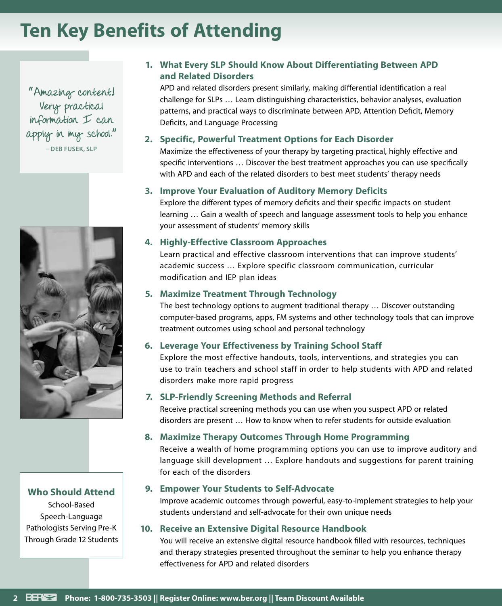## **Ten Key Benefits of Attending**

" Amazing content! Very practical information I can apply in my school." **– DEB FUSEK, SLP**



#### **Who Should Attend**

School-Based Speech-Language Pathologists Serving Pre-K Through Grade 12 Students

#### **1. What Every SLP Should Know About Differentiating Between APD and Related Disorders**

APD and related disorders present similarly, making differential identification a real challenge for SLPs … Learn distinguishing characteristics, behavior analyses, evaluation patterns, and practical ways to discriminate between APD, Attention Deficit, Memory Deficits, and Language Processing

#### **2. Specific, Powerful Treatment Options for Each Disorder**

Maximize the effectiveness of your therapy by targeting practical, highly effective and specific interventions … Discover the best treatment approaches you can use specifically with APD and each of the related disorders to best meet students' therapy needs

#### **3. Improve Your Evaluation of Auditory Memory Deficits**

Explore the different types of memory deficits and their specific impacts on student learning … Gain a wealth of speech and language assessment tools to help you enhance your assessment of students' memory skills

#### **4. Highly-Effective Classroom Approaches**

Learn practical and effective classroom interventions that can improve students' academic success … Explore specific classroom communication, curricular modification and IEP plan ideas

#### **5. Maximize Treatment Through Technology**

The best technology options to augment traditional therapy … Discover outstanding computer-based programs, apps, FM systems and other technology tools that can improve treatment outcomes using school and personal technology

#### **6. Leverage Your Effectiveness by Training School Staff**

Explore the most effective handouts, tools, interventions, and strategies you can use to train teachers and school staff in order to help students with APD and related disorders make more rapid progress

#### **7. SLP-Friendly Screening Methods and Referral**

Receive practical screening methods you can use when you suspect APD or related disorders are present … How to know when to refer students for outside evaluation

#### **8. Maximize Therapy Outcomes Through Home Programming**

Receive a wealth of home programming options you can use to improve auditory and language skill development … Explore handouts and suggestions for parent training for each of the disorders

#### **9. Empower Your Students to Self-Advocate**

Improve academic outcomes through powerful, easy-to-implement strategies to help your students understand and self-advocate for their own unique needs

#### **10. Receive an Extensive Digital Resource Handbook**

You will receive an extensive digital resource handbook filled with resources, techniques and therapy strategies presented throughout the seminar to help you enhance therapy effectiveness for APD and related disorders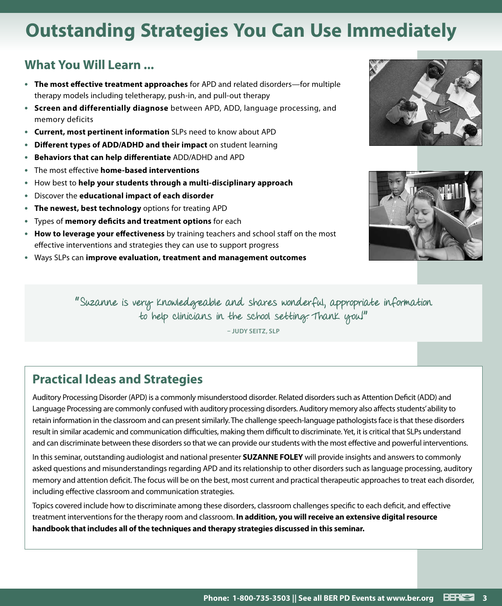## **Outstanding Strategies You Can Use Immediately**

### **What You Will Learn ...**

- **• The most effective treatment approaches** for APD and related disorders—for multiple therapy models including teletherapy, push-in, and pull-out therapy
- **• Screen and differentially diagnose** between APD, ADD, language processing, and memory deficits
- **• Current, most pertinent information** SLPs need to know about APD
- **• Different types of ADD/ADHD and their impact** on student learning
- **• Behaviors that can help differentiate** ADD/ADHD and APD
- **•** The most effective **home-based interventions**
- **•** How best to **help your students through a multi-disciplinary approach**
- **•** Discover the **educational impact of each disorder**
- **• The newest, best technology** options for treating APD
- **•** Types of **memory deficits and treatment options** for each
- **• How to leverage your effectiveness** by training teachers and school staff on the most effective interventions and strategies they can use to support progress
- **•** Ways SLPs can **improve evaluation, treatment and management outcomes**





" Suzanne is very knowledgeable and shares wonderful, appropriate information to help clinicians in the school setting. Thank you!"

**– JUDY SEITZ, SLP**

### **Practical Ideas and Strategies**

Auditory Processing Disorder (APD) is a commonly misunderstood disorder. Related disorders such as Attention Deficit (ADD) and Language Processing are commonly confused with auditory processing disorders. Auditory memory also affects students' ability to retain information in the classroom and can present similarly. The challenge speech-language pathologists face is that these disorders result in similar academic and communication difficulties, making them difficult to discriminate. Yet, it is critical that SLPs understand and can discriminate between these disorders so that we can provide our students with the most effective and powerful interventions.

In this seminar, outstanding audiologist and national presenter **SUZANNE FOLEY** will provide insights and answers to commonly asked questions and misunderstandings regarding APD and its relationship to other disorders such as language processing, auditory memory and attention deficit. The focus will be on the best, most current and practical therapeutic approaches to treat each disorder, including effective classroom and communication strategies.

Topics covered include how to discriminate among these disorders, classroom challenges specific to each deficit, and effective treatment interventions for the therapy room and classroom. **In addition, you will receive an extensive digital resource handbook that includes all of the techniques and therapy strategies discussed in this seminar.**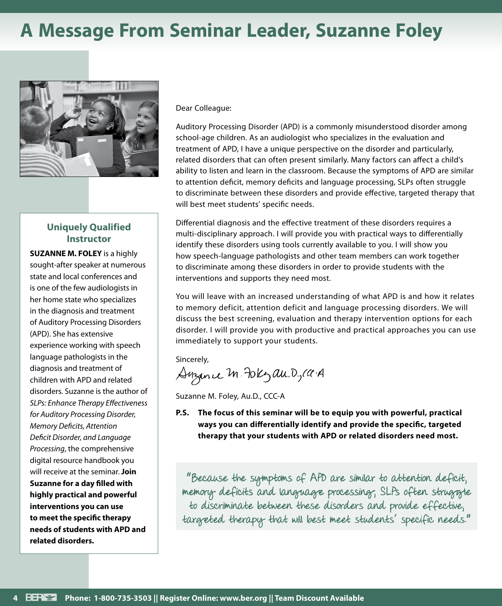## **A Message From Seminar Leader, Suzanne Foley**



#### **Uniquely Qualified Instructor**

**SUZANNE M. FOLEY** is a highly sought-after speaker at numerous state and local conferences and is one of the few audiologists in her home state who specializes in the diagnosis and treatment of Auditory Processing Disorders (APD). She has extensive experience working with speech language pathologists in the diagnosis and treatment of children with APD and related disorders. Suzanne is the author of *SLPs: Enhance Therapy Effectiveness for Auditory Processing Disorder, Memory Deficits, Attention Deficit Disorder, and Language Processing*, the comprehensive digital resource handbook you will receive at the seminar. **Join Suzanne for a day filled with highly practical and powerful interventions you can use to meet the specific therapy needs of students with APD and related disorders.**

#### Dear Colleague:

Auditory Processing Disorder (APD) is a commonly misunderstood disorder among school-age children. As an audiologist who specializes in the evaluation and treatment of APD, I have a unique perspective on the disorder and particularly, related disorders that can often present similarly. Many factors can affect a child's ability to listen and learn in the classroom. Because the symptoms of APD are similar to attention deficit, memory deficits and language processing, SLPs often struggle to discriminate between these disorders and provide effective, targeted therapy that will best meet students' specific needs.

Differential diagnosis and the effective treatment of these disorders requires a multi-disciplinary approach. I will provide you with practical ways to differentially identify these disorders using tools currently available to you. I will show you how speech-language pathologists and other team members can work together to discriminate among these disorders in order to provide students with the interventions and supports they need most.

You will leave with an increased understanding of what APD is and how it relates to memory deficit, attention deficit and language processing disorders. We will discuss the best screening, evaluation and therapy intervention options for each disorder. I will provide you with productive and practical approaches you can use immediately to support your students.

Sincerely,

Suzance M. Fokzau. D, ca. A

Suzanne M. Foley, Au.D., CCC-A

**P.S. The focus of this seminar will be to equip you with powerful, practical ways you can differentially identify and provide the specific, targeted therapy that your students with APD or related disorders need most.**

" Because the symptoms of APD are similar to attention deficit, memory deficits and language processing, SLPs often struggte to discriminate between these disorders and provide effective, targeted therapy that will best meet students' specific needs."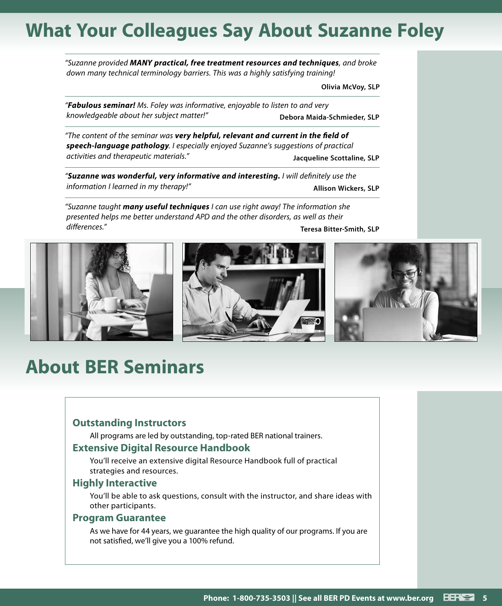## **What Your Colleagues Say About Suzanne Foley**

*"Suzanne provided MANY practical, free treatment resources and techniques, and broke down many technical terminology barriers. This was a highly satisfying training!*

**Olivia McVoy, SLP**

*"Fabulous seminar! Ms. Foley was informative, enjoyable to listen to and very knowledgeable about her subject matter!"* **Debora Maida-Schmieder, SLP**

*"The content of the seminar was very helpful, relevant and current in the field of speech-language pathology. I especially enjoyed Suzanne's suggestions of practical activities and therapeutic materials."* **Jacqueline Scottaline, SLP**

*"Suzanne was wonderful, very informative and interesting. I will definitely use the information I learned in my therapy!"* **Allison Wickers, SLP**

*"Suzanne taught many useful techniques I can use right away! The information she presented helps me better understand APD and the other disorders, as well as their differences."* **Teresa Bitter-Smith, SLP**



## **About BER Seminars**

#### **Outstanding Instructors**

All programs are led by outstanding, top-rated BER national trainers.

#### **Extensive Digital Resource Handbook**

You'll receive an extensive digital Resource Handbook full of practical strategies and resources.

#### **Highly Interactive**

You'll be able to ask questions, consult with the instructor, and share ideas with other participants.

#### **Program Guarantee**

As we have for 44 years, we guarantee the high quality of our programs. If you are not satisfied, we'll give you a 100% refund.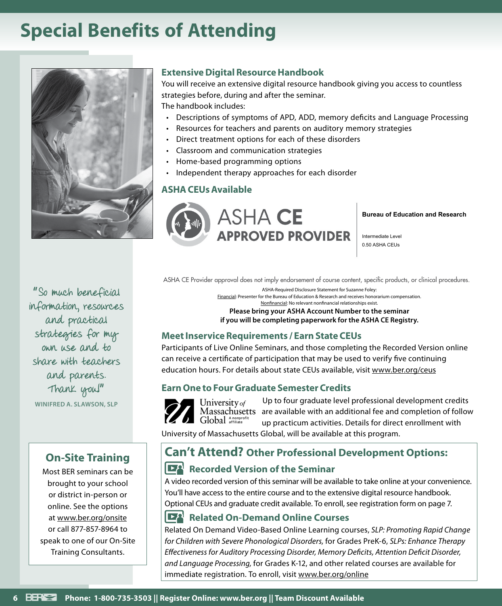## **Special Benefits of Attending**



" So much beneficial information, resources and practical strategies for my own use and to share with teachers and parents. Thank you!" **WINIFRED A. SLAWSON, SLP**

### **On-Site Training**

Most BER seminars can be brought to your school or district in-person or online. See the options at www.ber.org/onsite or call 877-857-8964 to speak to one of our On-Site Training Consultants.

#### **Extensive Digital Resource Handbook**

You will receive an extensive digital resource handbook giving you access to countless strategies before, during and after the seminar. The handbook includes:

- Descriptions of symptoms of APD, ADD, memory deficits and Language Processing
- Resources for teachers and parents on auditory memory strategies
- Direct treatment options for each of these disorders
- Classroom and communication strategies
- Home-based programming options
- Independent therapy approaches for each disorder

#### **ASHA CEUs Available**



**Bureau of Education and Research**

Intermediate Level 0.50 ASHA CEUs

ASHA CE Provider approval does not imply endorsement of course content, specific products, or clinical procedures. ASHA-Required Disclosure Statement for Suzanne Foley:

Financial: Presenter for the Bureau of Education & Research and receives honorarium compensation. Nonfinancial: No relevant nonfinancial relationships exist.

**Please bring your ASHA Account Number to the seminar if you will be completing paperwork for the ASHA CE Registry.**

#### **Meet Inservice Requirements / Earn State CEUs**

Participants of Live Online Seminars, and those completing the Recorded Version online can receive a certificate of participation that may be used to verify five continuing education hours. For details about state CEUs available, visit www.ber.org/ceus

#### **Earn One to Four Graduate Semester Credits**



Up to four graduate level professional development credits University of Massachusetts are available with an additional fee and completion of follow up practicum activities. Details for direct enrollment with

University of Massachusetts Global, will be available at this program.

### **Can't Attend? Other Professional Development Options:**

#### **Recorded Version of the Seminar**

A video recorded version of this seminar will be available to take online at your convenience. You'll have access to the entire course and to the extensive digital resource handbook. Optional CEUs and graduate credit available. To enroll, see registration form on page 7.

#### **Related On-Demand Online Courses**

Related On Demand Video-Based Online Learning courses, *SLP: Promoting Rapid Change for Children with Severe Phonological Disorders,* for Grades PreK-6, *SLPs: Enhance Therapy Effectiveness for Auditory Processing Disorder, Memory Deficits, Attention Deficit Disorder, and Language Processing,* for Grades K-12, and other related courses are available for immediate registration. To enroll, visit www.ber.org/online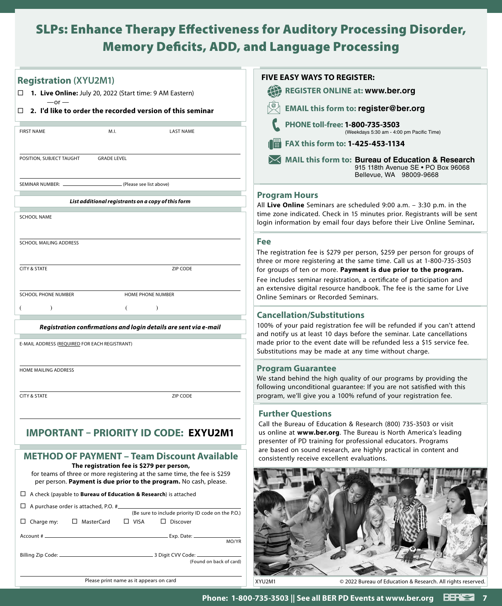### SLPs: Enhance Therapy Effectiveness for Auditory Processing Disorder, Memory Deficits, ADD, and Language Processing

| <b>Registration (XYU2M1)</b>                                                                                                                                                                | <b>FIVE EASY WAYS TO REGISTER:</b>                                                                                                                                                                               |
|---------------------------------------------------------------------------------------------------------------------------------------------------------------------------------------------|------------------------------------------------------------------------------------------------------------------------------------------------------------------------------------------------------------------|
| □ 1. Live Online: July 20, 2022 (Start time: 9 AM Eastern)                                                                                                                                  | 4<br><b>REGISTER ONLINE at: www.ber.org</b>                                                                                                                                                                      |
| $-$ or $-$<br>2. I'd like to order the recorded version of this seminar<br>П.                                                                                                               | <b>EMAIL this form to: register@ber.org</b>                                                                                                                                                                      |
| <b>FIRST NAME</b><br>M.I.<br><b>LAST NAME</b>                                                                                                                                               | PHONE toll-free: 1-800-735-3503<br>(Weekdays 5:30 am - 4:00 pm Pacific Time)                                                                                                                                     |
|                                                                                                                                                                                             | i i i i<br>FAX this form to: 1-425-453-1134                                                                                                                                                                      |
| POSITION, SUBJECT TAUGHT<br><b>GRADE LEVEL</b>                                                                                                                                              | MAIL this form to: Bureau of Education & Research<br>915 118th Avenue SE . PO Box 96068<br>Bellevue, WA 98009-9668                                                                                               |
| (Please see list above)<br>SEMINAR NUMBER:                                                                                                                                                  |                                                                                                                                                                                                                  |
| List additional registrants on a copy of this form                                                                                                                                          | <b>Program Hours</b><br>All Live Online Seminars are scheduled 9:00 a.m. - 3:30 p.m. in the                                                                                                                      |
| <b>SCHOOL NAME</b>                                                                                                                                                                          | time zone indicated. Check in 15 minutes prior. Registrants will be sent<br>login information by email four days before their Live Online Seminar.                                                               |
| SCHOOL MAILING ADDRESS                                                                                                                                                                      | Fee<br>The registration fee is \$279 per person, \$259 per person for groups of<br>three or more registering at the same time. Call us at 1-800-735-3503                                                         |
| <b>CITY &amp; STATE</b><br>ZIP CODE                                                                                                                                                         | for groups of ten or more. Payment is due prior to the program.<br>Fee includes seminar registration, a certificate of participation and<br>an extensive digital resource handbook. The fee is the same for Live |
| SCHOOL PHONE NUMBER<br>HOME PHONE NUMBER                                                                                                                                                    | Online Seminars or Recorded Seminars.                                                                                                                                                                            |
|                                                                                                                                                                                             | <b>Cancellation/Substitutions</b>                                                                                                                                                                                |
| Registration confirmations and login details are sent via e-mail                                                                                                                            | 100% of your paid registration fee will be refunded if you can't attend<br>and notify us at least 10 days before the seminar. Late cancellations                                                                 |
| E-MAIL ADDRESS (REQUIRED FOR EACH REGISTRANT)                                                                                                                                               | made prior to the event date will be refunded less a \$15 service fee.<br>Substitutions may be made at any time without charge.                                                                                  |
| HOME MAILING ADDRESS                                                                                                                                                                        | <b>Program Guarantee</b><br>We stand behind the high quality of our programs by providing the<br>following unconditional guarantee: If you are not satisfied with this                                           |
| <b>CITY &amp; STATE</b><br>ZIP CODE                                                                                                                                                         | program, we'll give you a 100% refund of your registration fee.                                                                                                                                                  |
|                                                                                                                                                                                             | <b>Further Questions</b>                                                                                                                                                                                         |
| <b>IMPORTANT - PRIORITY ID</b><br><b>CODE: EXYU2M1</b>                                                                                                                                      | Call the Bureau of Education & Research (800) 735-3503 or visit<br>us online at www.ber.org. The Bureau is North America's leading<br>presenter of PD training for professional educators. Programs              |
| <b>METHOD OF PAYMENT - Team Discount Available</b>                                                                                                                                          | are based on sound research, are highly practical in content and<br>consistently receive excellent evaluations.                                                                                                  |
| The registration fee is \$279 per person,<br>for teams of three or more registering at the same time, the fee is \$259<br>per person. Payment is due prior to the program. No cash, please. |                                                                                                                                                                                                                  |
| $\Box$ A check (payable to <b>Bureau of Education &amp; Research</b> ) is attached                                                                                                          |                                                                                                                                                                                                                  |
| $\Box$ A purchase order is attached, P.O. #<br>(Be sure to include priority ID code on the P.O.)                                                                                            |                                                                                                                                                                                                                  |
| $\Box$ Charge my:<br>□ MasterCard<br>$\Box$ VISA<br>$\square$ Discover                                                                                                                      |                                                                                                                                                                                                                  |
| MO/YR                                                                                                                                                                                       |                                                                                                                                                                                                                  |
| (Found on back of card)                                                                                                                                                                     |                                                                                                                                                                                                                  |
| Please print name as it appears on card                                                                                                                                                     | XYU2M1<br>© 2022 Bureau of Education & Research. All rights reserved.                                                                                                                                            |
|                                                                                                                                                                                             |                                                                                                                                                                                                                  |